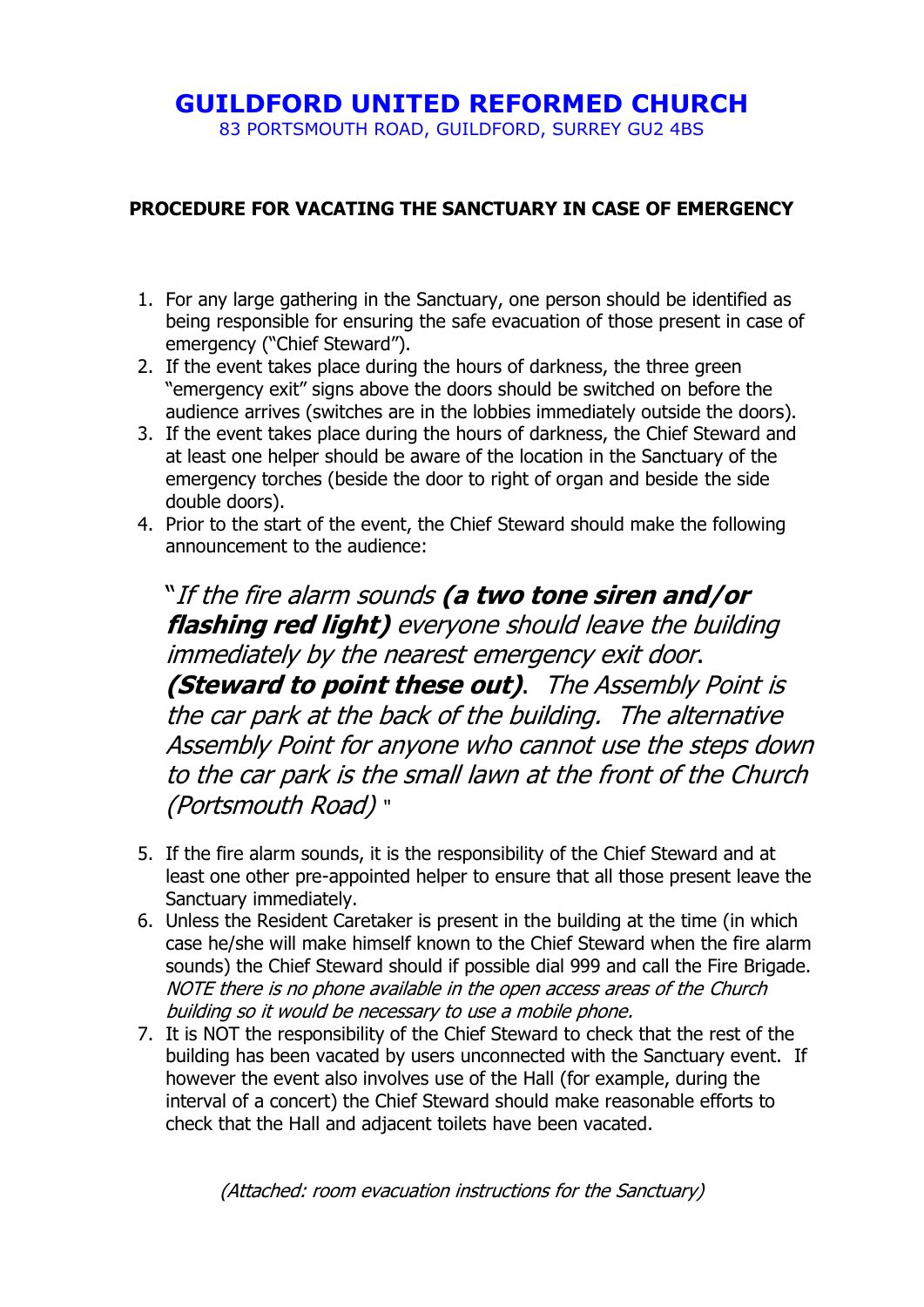# **GUILDFORD UNITED REFORMED CHURCH**

83 PORTSMOUTH ROAD, GUILDFORD, SURREY GU2 4BS

#### **PROCEDURE FOR VACATING THE SANCTUARY IN CASE OF EMERGENCY**

- 1. For any large gathering in the Sanctuary, one person should be identified as being responsible for ensuring the safe evacuation of those present in case of emergency ("Chief Steward").
- 2. If the event takes place during the hours of darkness, the three green "emergency exit" signs above the doors should be switched on before the audience arrives (switches are in the lobbies immediately outside the doors).
- 3. If the event takes place during the hours of darkness, the Chief Steward and at least one helper should be aware of the location in the Sanctuary of the emergency torches (beside the door to right of organ and beside the side double doors).
- 4. Prior to the start of the event, the Chief Steward should make the following announcement to the audience:

"If the fire alarm sounds **(a two tone siren and/or flashing red light)** everyone should leave the building immediately by the nearest emergency exit door. **(Steward to point these out)**. The Assembly Point is the car park at the back of the building. The alternative Assembly Point for anyone who cannot use the steps down to the car park is the small lawn at the front of the Church (Portsmouth Road) "

- 5. If the fire alarm sounds, it is the responsibility of the Chief Steward and at least one other pre-appointed helper to ensure that all those present leave the Sanctuary immediately.
- 6. Unless the Resident Caretaker is present in the building at the time (in which case he/she will make himself known to the Chief Steward when the fire alarm sounds) the Chief Steward should if possible dial 999 and call the Fire Brigade. NOTE there is no phone available in the open access areas of the Church building so it would be necessary to use a mobile phone.
- 7. It is NOT the responsibility of the Chief Steward to check that the rest of the building has been vacated by users unconnected with the Sanctuary event. If however the event also involves use of the Hall (for example, during the interval of a concert) the Chief Steward should make reasonable efforts to check that the Hall and adjacent toilets have been vacated.

(Attached: room evacuation instructions for the Sanctuary)